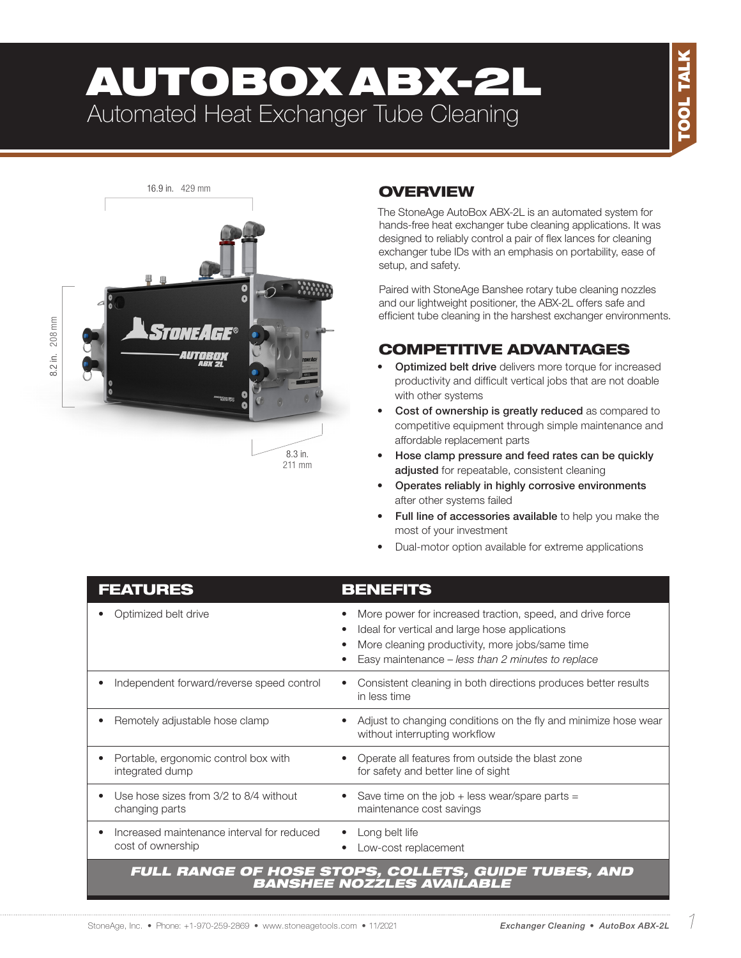# AUTOBOX ABX-2L Automated Heat Exchanger Tube Cleaning



## **OVERVIEW**

The StoneAge AutoBox ABX-2L is an automated system for hands-free heat exchanger tube cleaning applications. It was designed to reliably control a pair of flex lances for cleaning exchanger tube IDs with an emphasis on portability, ease of setup, and safety.

Paired with StoneAge Banshee rotary tube cleaning nozzles and our lightweight positioner, the ABX-2L offers safe and efficient tube cleaning in the harshest exchanger environments.

### COMPETITIVE ADVANTAGES

- Optimized belt drive delivers more torque for increased productivity and difficult vertical jobs that are not doable with other systems
- Cost of ownership is greatly reduced as compared to competitive equipment through simple maintenance and affordable replacement parts
- Hose clamp pressure and feed rates can be quickly adjusted for repeatable, consistent cleaning
- Operates reliably in highly corrosive environments after other systems failed
- Full line of accessories available to help you make the most of your investment
- Dual-motor option available for extreme applications

| <b>FEATURES</b>                                                                  | <b>BENEFITS</b>                                                                                                                                                                                                     |  |  |
|----------------------------------------------------------------------------------|---------------------------------------------------------------------------------------------------------------------------------------------------------------------------------------------------------------------|--|--|
| Optimized belt drive                                                             | More power for increased traction, speed, and drive force<br>Ideal for vertical and large hose applications<br>More cleaning productivity, more jobs/same time<br>Easy maintenance - less than 2 minutes to replace |  |  |
| Independent forward/reverse speed control                                        | Consistent cleaning in both directions produces better results<br>in less time                                                                                                                                      |  |  |
| Remotely adjustable hose clamp                                                   | Adjust to changing conditions on the fly and minimize hose wear<br>without interrupting workflow                                                                                                                    |  |  |
| Portable, ergonomic control box with<br>integrated dump                          | Operate all features from outside the blast zone<br>for safety and better line of sight                                                                                                                             |  |  |
| Use hose sizes from 3/2 to 8/4 without<br>changing parts                         | Save time on the job $+$ less wear/spare parts =<br>maintenance cost savings                                                                                                                                        |  |  |
| Increased maintenance interval for reduced<br>cost of ownership                  | Long belt life<br>Low-cost replacement                                                                                                                                                                              |  |  |
| FULL RANGE OF HOSE STOPS, COLLETS, GUIDE TUBES, AND<br>BANSHEE NOZŹLES AVAILABLE |                                                                                                                                                                                                                     |  |  |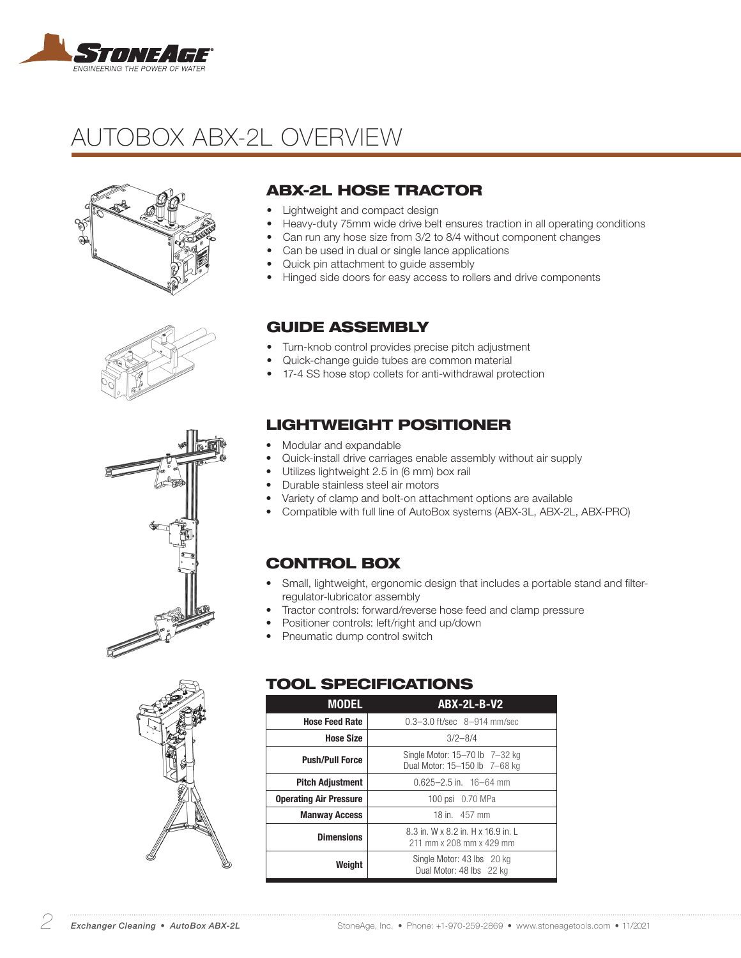

## AUTOBOX ABX-2L OVERVIEW









### ABX-2L HOSE TRACTOR

- Lightweight and compact design
- Heavy-duty 75mm wide drive belt ensures traction in all operating conditions
- Can run any hose size from 3/2 to 8/4 without component changes
- Can be used in dual or single lance applications
- Quick pin attachment to guide assembly
- Hinged side doors for easy access to rollers and drive components

#### GUIDE ASSEMBLY

- Turn-knob control provides precise pitch adjustment
- Quick-change guide tubes are common material
- 17-4 SS hose stop collets for anti-withdrawal protection

#### LIGHTWEIGHT POSITIONER

- Modular and expandable
- Quick-install drive carriages enable assembly without air supply
- Utilizes lightweight 2.5 in (6 mm) box rail
- Durable stainless steel air motors
- Variety of clamp and bolt-on attachment options are available
- Compatible with full line of AutoBox systems (ABX-3L, ABX-2L, ABX-PRO)

#### CONTROL BOX

- Small, lightweight, ergonomic design that includes a portable stand and filterregulator-lubricator assembly
- Tractor controls: forward/reverse hose feed and clamp pressure
- Positioner controls: left/right and up/down
- Pneumatic dump control switch

#### TOOL SPECIFICATIONS

| <b>MODEL</b>                  | <b>ABX-2L-B-V2</b>                                              |  |
|-------------------------------|-----------------------------------------------------------------|--|
| <b>Hose Feed Rate</b>         | $0.3 - 3.0$ ft/sec $8 - 914$ mm/sec                             |  |
| <b>Hose Size</b>              | $3/2 - 8/4$                                                     |  |
| <b>Push/Pull Force</b>        | Single Motor: 15-70 lb 7-32 kg<br>Dual Motor: 15-150 lb 7-68 kg |  |
| <b>Pitch Adjustment</b>       | $0.625 - 2.5$ in. 16-64 mm                                      |  |
| <b>Operating Air Pressure</b> | 100 psi 0.70 MPa                                                |  |
| <b>Manway Access</b>          | 18 in 457 mm                                                    |  |
| <b>Dimensions</b>             | 8.3 in. W x 8.2 in. H x 16.9 in. L<br>211 mm x 208 mm x 429 mm  |  |
| Weight                        | Single Motor: 43 lbs 20 kg<br>Dual Motor: 48 lbs 22 kg          |  |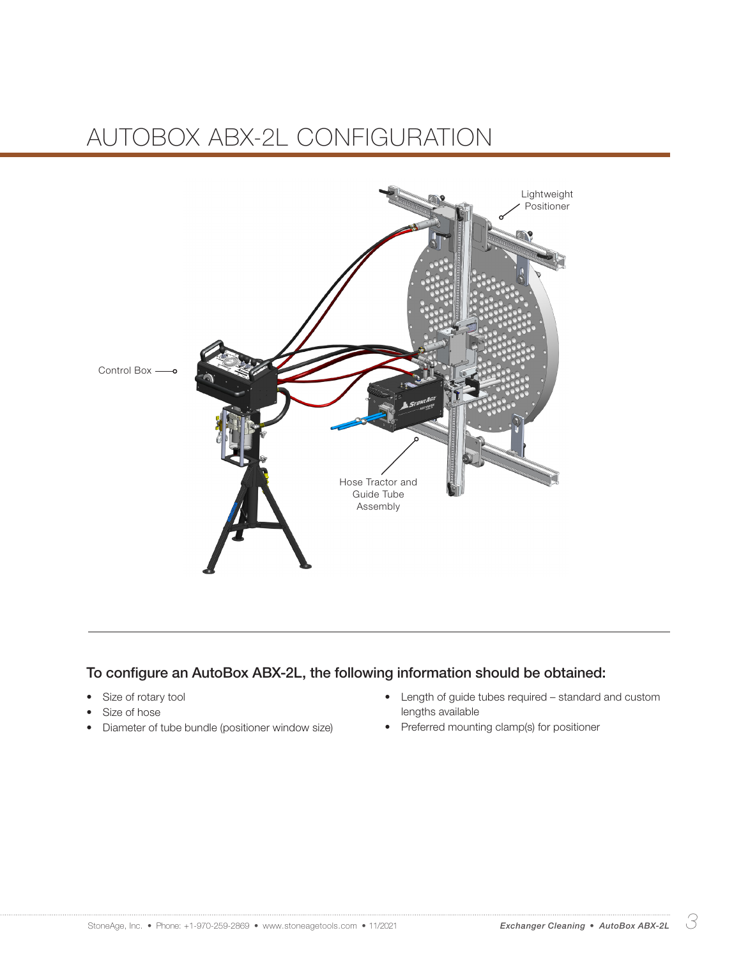## AUTOBOX ABX-2L CONFIGURATION



#### To configure an AutoBox ABX-2L, the following information should be obtained:

- Size of rotary tool
- Size of hose
- Diameter of tube bundle (positioner window size)
- Length of guide tubes required standard and custom lengths available
- Preferred mounting clamp(s) for positioner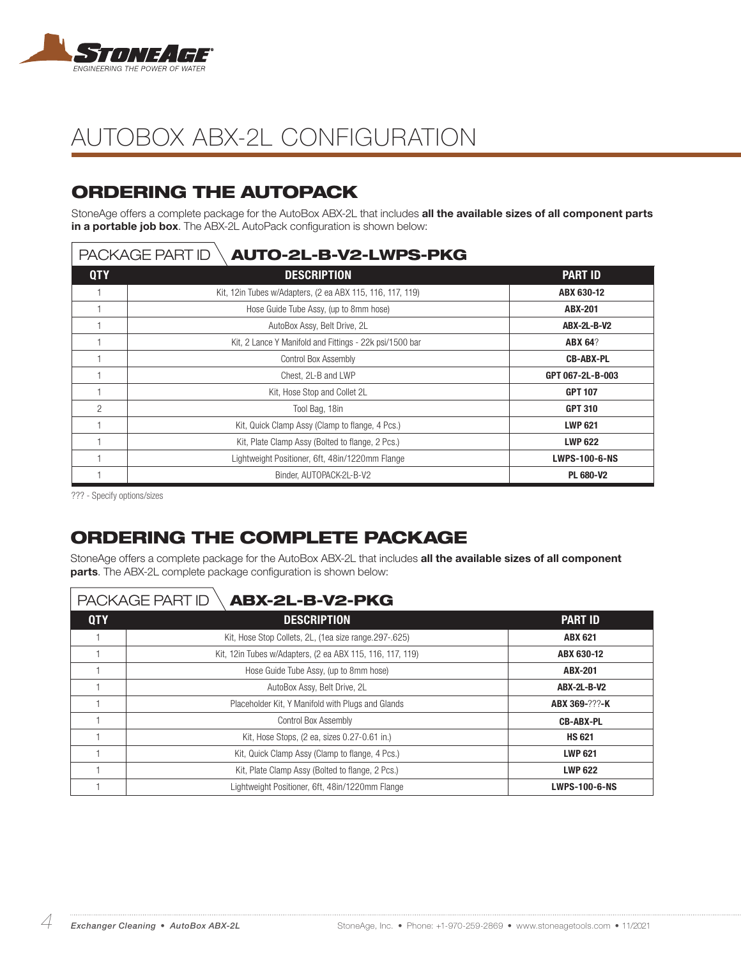

## AUTOBOX ABX-2L CONFIGURATION

## ORDERING THE AUTOPACK

StoneAge offers a complete package for the AutoBox ABX-2L that includes all the available sizes of all component parts in a portable job box. The ABX-2L AutoPack configuration is shown below:

#### $|$  PACKAGE PART ID  $\backslash$  **AUTO-2L-B-V2-LWPS-PKG**

| <b>QTY</b>     | <b>DESCRIPTION</b>                                        | <b>PART ID</b>       |
|----------------|-----------------------------------------------------------|----------------------|
|                | Kit, 12in Tubes w/Adapters, (2 ea ABX 115, 116, 117, 119) | ABX 630-12           |
|                | Hose Guide Tube Assy, (up to 8mm hose)                    | <b>ABX-201</b>       |
|                | AutoBox Assy, Belt Drive, 2L                              | <b>ABX-2L-B-V2</b>   |
|                | Kit, 2 Lance Y Manifold and Fittings - 22k psi/1500 bar   | <b>ABX 64?</b>       |
|                | Control Box Assembly                                      | <b>CB-ABX-PL</b>     |
|                | Chest. 2L-B and LWP                                       | GPT 067-2L-B-003     |
|                | Kit, Hose Stop and Collet 2L                              | <b>GPT 107</b>       |
| $\overline{2}$ | Tool Bag, 18in                                            | <b>GPT 310</b>       |
|                | Kit, Quick Clamp Assy (Clamp to flange, 4 Pcs.)           | <b>LWP 621</b>       |
|                | Kit, Plate Clamp Assy (Bolted to flange, 2 Pcs.)          | <b>LWP 622</b>       |
|                | Lightweight Positioner, 6ft, 48in/1220mm Flange           | <b>LWPS-100-6-NS</b> |
|                | Binder, AUTOPACK-2L-B-V2                                  | <b>PL 680-V2</b>     |

??? - Specify options/sizes

## ORDERING THE COMPLETE PACKAGE

StoneAge offers a complete package for the AutoBox ABX-2L that includes all the available sizes of all component parts. The ABX-2L complete package configuration is shown below:

### PACKAGE PART ID \**ABX-2L-B-V2-PKG**

| <b>QTY</b> | <b>DESCRIPTION</b>                                         | <b>PART ID</b>       |
|------------|------------------------------------------------------------|----------------------|
|            | Kit, Hose Stop Collets, 2L, (1ea size range.297-.625)      | <b>ABX 621</b>       |
|            | Kit, 12 in Tubes w/Adapters, (2 ea ABX 115, 116, 117, 119) | ABX 630-12           |
|            | Hose Guide Tube Assy, (up to 8mm hose)                     | ABX-201              |
|            | AutoBox Assy, Belt Drive, 2L                               | <b>ABX-2L-B-V2</b>   |
|            | Placeholder Kit, Y Manifold with Plugs and Glands          | ABX 369-???-K        |
|            | Control Box Assembly                                       | <b>CB-ABX-PL</b>     |
|            | Kit, Hose Stops, (2 ea, sizes 0.27-0.61 in.)               | <b>HS 621</b>        |
|            | Kit, Quick Clamp Assy (Clamp to flange, 4 Pcs.)            | <b>LWP 621</b>       |
|            | Kit, Plate Clamp Assy (Bolted to flange, 2 Pcs.)           | <b>LWP 622</b>       |
|            | Lightweight Positioner, 6ft, 48in/1220mm Flange            | <b>LWPS-100-6-NS</b> |